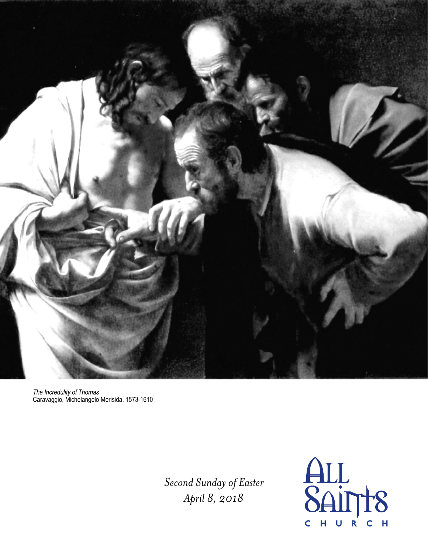

*The Incredulity of Thomas*  Caravaggio, Michelangelo Merisida, 1573-1610

> *Second Sunday of Easter April 8, 2018*

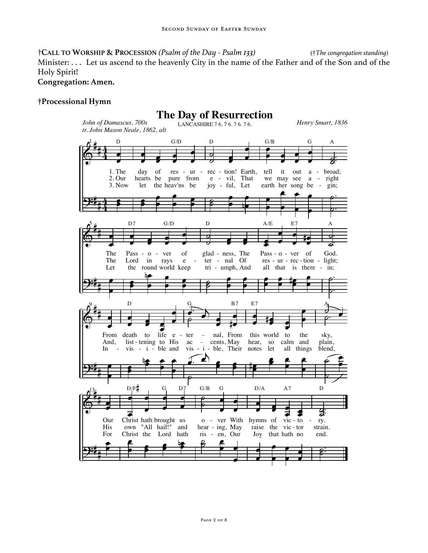†**CALL TO WORSHIP & PROCESSION** *(Psalm of the Day - Psalm 133)* (†*The congregation standing*) Minister: . . . Let us ascend to the heavenly City in the name of the Father and of the Son and of the Holy Spirit!

### **Congregation: Amen.**

### **†Processional Hymn**

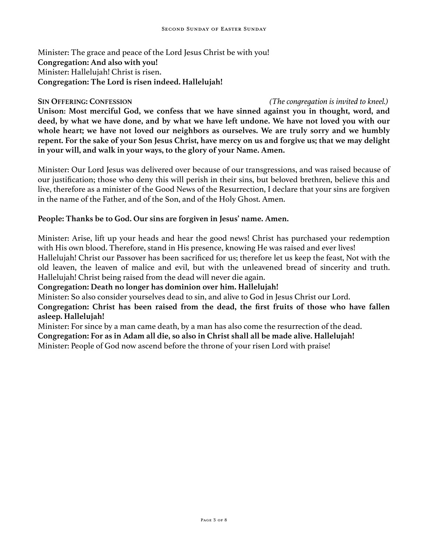Minister: The grace and peace of the Lord Jesus Christ be with you! **Congregation: And also with you!** Minister: Hallelujah! Christ is risen. **Congregation: The Lord is risen indeed. Hallelujah!** 

### **SIN OFFERING: CONFESSION** *(The congregation is invited to kneel.)*

**Unison**: **Most merciful God, we confess that we have sinned against you in thought, word, and deed, by what we have done, and by what we have left undone. We have not loved you with our whole heart; we have not loved our neighbors as ourselves. We are truly sorry and we humbly repent. For the sake of your Son Jesus Christ, have mercy on us and forgive us; that we may delight in your will, and walk in your ways, to the glory of your Name. Amen.** 

Minister: Our Lord Jesus was delivered over because of our transgressions, and was raised because of our justification; those who deny this will perish in their sins, but beloved brethren, believe this and live, therefore as a minister of the Good News of the Resurrection, I declare that your sins are forgiven in the name of the Father, and of the Son, and of the Holy Ghost. Amen.

# **People: Thanks be to God. Our sins are forgiven in Jesus' name. Amen.**

Minister: Arise, lift up your heads and hear the good news! Christ has purchased your redemption with His own blood. Therefore, stand in His presence, knowing He was raised and ever lives! Hallelujah! Christ our Passover has been sacrificed for us; therefore let us keep the feast, Not with the old leaven, the leaven of malice and evil, but with the unleavened bread of sincerity and truth. Hallelujah! Christ being raised from the dead will never die again.

**Congregation: Death no longer has dominion over him. Hallelujah!** 

Minister: So also consider yourselves dead to sin, and alive to God in Jesus Christ our Lord.

**Congregation: Christ has been raised from the dead, the first fruits of those who have fallen asleep. Hallelujah!**

Minister: For since by a man came death, by a man has also come the resurrection of the dead. **Congregation: For as in Adam all die, so also in Christ shall all be made alive. Hallelujah!**  Minister: People of God now ascend before the throne of your risen Lord with praise!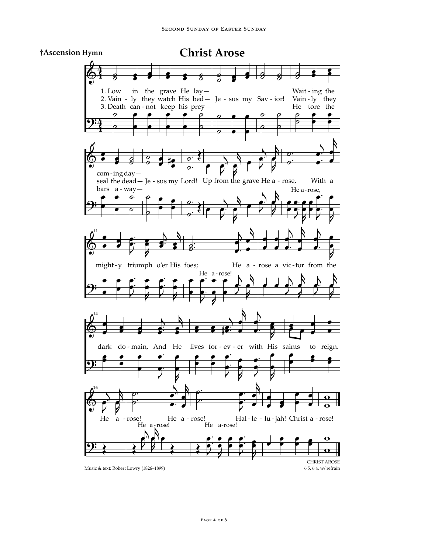

**Christ Arose**

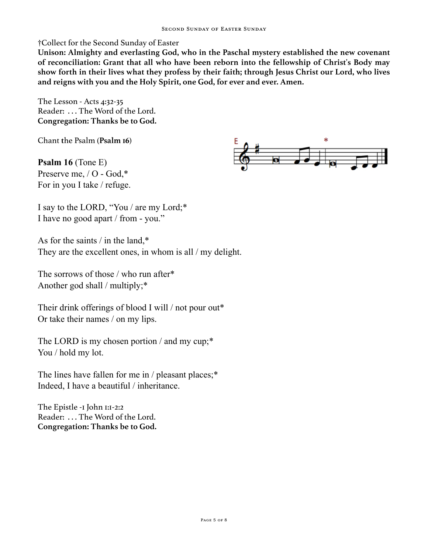†Collect for the Second Sunday of Easter

**Unison: Almighty and everlasting God, who in the Paschal mystery established the new covenant of reconciliation: Grant that all who have been reborn into the fellowship of Christ's Body may show forth in their lives what they profess by their faith; through Jesus Christ our Lord, who lives and reigns with you and the Holy Spirit, one God, for ever and ever. Amen.** 

The Lesson - Acts 4:32-35 Reader: . . . The Word of the Lord. **Congregation: Thanks be to God.**

Chant **t**he Psalm (**Psalm 16**)

**Psalm 16** (Tone E) Preserve me, / O - God,\* For in you I take / refuge.



I say to the LORD, "You / are my Lord;\* I have no good apart / from - you."

As for the saints / in the land,\* They are the excellent ones, in whom is all / my delight.

The sorrows of those / who run after\* Another god shall / multiply;\*

Their drink offerings of blood I will / not pour out\* Or take their names / on my lips.

The LORD is my chosen portion / and my cup;\* You / hold my lot.

The lines have fallen for me in / pleasant places;\* Indeed, I have a beautiful / inheritance.

The Epistle -1 John 1:1-2:2 Reader: . . . The Word of the Lord. **Congregation: Thanks be to God.**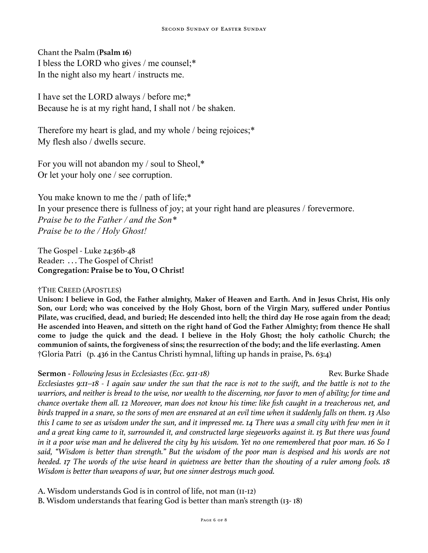Chant the Psalm (**Psalm 16**) I bless the LORD who gives / me counsel;\* In the night also my heart / instructs me.

I have set the LORD always / before me;\* Because he is at my right hand, I shall not / be shaken.

Therefore my heart is glad, and my whole / being rejoices;\* My flesh also / dwells secure.

For you will not abandon my / soul to Sheol,\* Or let your holy one / see corruption.

You make known to me the / path of life;\* In your presence there is fullness of joy; at your right hand are pleasures / forevermore. *Praise be to the Father / and the Son\* Praise be to the / Holy Ghost!*

The Gospel - Luke 24:36b-48 Reader: . . . The Gospel of Christ! **Congregation: Praise be to You, O Christ!** 

# †THE CREED (APOSTLES)

**Unison: I believe in God, the Father almighty, Maker of Heaven and Earth. And in Jesus Christ, His only Son, our Lord; who was conceived by the Holy Ghost, born of the Virgin Mary, suffered under Pontius Pilate, was crucified, dead, and buried; He descended into hell; the third day He rose again from the dead; He ascended into Heaven, and sitteth on the right hand of God the Father Almighty; from thence He shall come to judge the quick and the dead. I believe in the Holy Ghost; the holy catholic Church; the communion of saints, the forgiveness of sins; the resurrection of the body; and the life everlasting. Amen**  †Gloria Patri (p. 436 in the Cantus Christi hymnal, lifting up hands in praise, Ps. 63:4)

**Sermon** - *Following Jesus in Ecclesiastes (Ecc. 9:11-18)* **Rev. Burke Shade** Rev. Burke Shade

*Ecclesiastes 9:11–18 - I again saw under the sun that the race is not to the swift, and the battle is not to the warriors, and neither is bread to the wise, nor wealth to the discerning, nor favor to men of ability; for time and chance overtake them all. 12 Moreover, man does not know his time: like fish caught in a treacherous net, and birds trapped in a snare, so the sons of men are ensnared at an evil time when it suddenly falls on them. 13 Also*  this I came to see as wisdom under the sun, and it impressed me. 14 There was a small city with few men in it *and a great king came to it, surrounded it, and constructed large siegeworks against it. 15 But there was found in it a poor wise man and he delivered the city by his wisdom. Yet no one remembered that poor man. 16 So I said, "Wisdom is better than strength." But the wisdom of the poor man is despised and his words are not heeded. 17 The words of the wise heard in quietness are better than the shouting of a ruler among fools. 18 Wisdom is better than weapons of war, but one sinner destroys much good.* 

A. Wisdom understands God is in control of life, not man (11-12)

B. Wisdom understands that fearing God is better than man's strength (13- 18)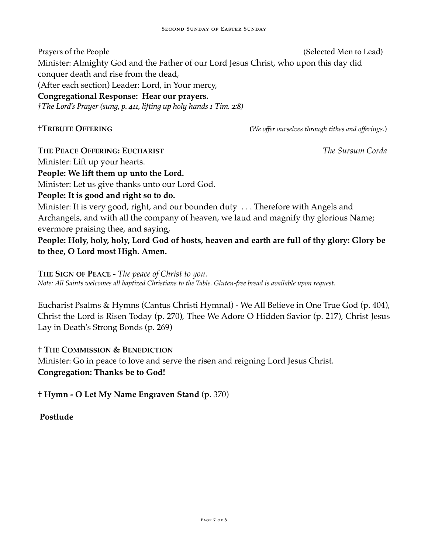Prayers of the People **Properties** (Selected Men to Lead) Minister: Almighty God and the Father of our Lord Jesus Christ, who upon this day did conquer death and rise from the dead, (After each section) Leader: Lord, in Your mercy, **Congregational Response: Hear our prayers.** *†The Lord's Prayer (sung, p. 411, lifting up holy hands 1 Tim. 2:8)*

†**TRIBUTE OFFERING (***We offer ourselves through tithes and offerings.*)

**THE PEACE OFFERING: EUCHARIST** *The Sursum Corda*

Minister: Lift up your hearts.

**People: We lift them up unto the Lord.**

Minister: Let us give thanks unto our Lord God.

**People: It is good and right so to do.**

Minister: It is very good, right, and our bounden duty . . . Therefore with Angels and Archangels, and with all the company of heaven, we laud and magnify thy glorious Name; evermore praising thee, and saying,

**People: Holy, holy, holy, Lord God of hosts, heaven and earth are full of thy glory: Glory be to thee, O Lord most High. Amen.**

**THE SIGN OF PEACE** - *The peace of Christ to you. Note: All Saints welcomes all baptized Christians to the Table. Gluten-free bread is available upon request.*

Eucharist Psalms & Hymns (Cantus Christi Hymnal) - We All Believe in One True God (p. 404), Christ the Lord is Risen Today (p. 270), Thee We Adore O Hidden Savior (p. 217), Christ Jesus Lay in Death's Strong Bonds (p. 269)

# † **THE COMMISSION & BENEDICTION**

Minister: Go in peace to love and serve the risen and reigning Lord Jesus Christ. **Congregation: Thanks be to God!**

**† Hymn - O Let My Name Engraven Stand** (p. 370)

**Postlude**